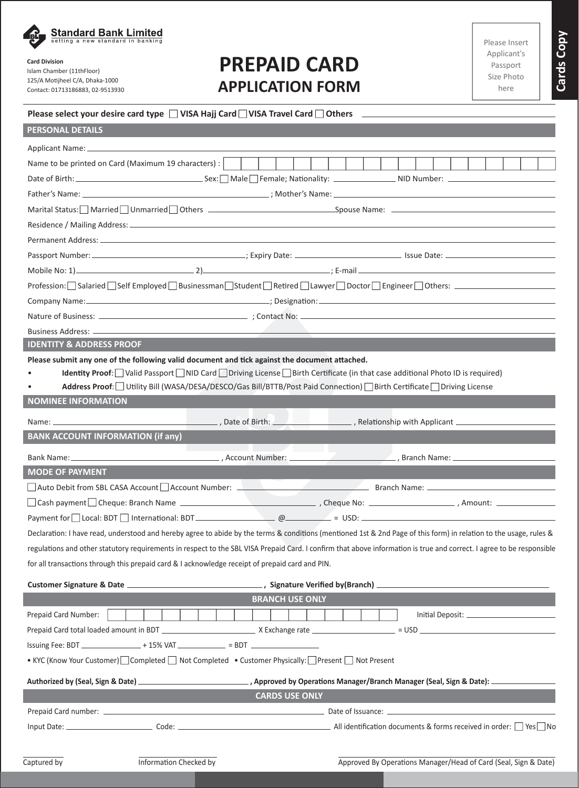

# **Card Division**

Islam Chamber (11thFloor) 125/A Motijheel C/A, Dhaka-1000 Contact: 01713186883, 02-9513930

# **PREPAID CARD APPLICATION FORM**

| ASE IIISELL |
|-------------|
| oplicant's  |
| assport     |
| ze Photo    |
| here        |

**Cards Copy**

Cards Copy

### **Please select your desire card type**  $\Box$  **VISA Hajj Card**  $\Box$  **VISA Travel Card**  $\Box$  **Others**

| <b>PERSONAL DETAILS</b>                                                                                                                                                                                                        |  |
|--------------------------------------------------------------------------------------------------------------------------------------------------------------------------------------------------------------------------------|--|
| Applicant Name: 2008                                                                                                                                                                                                           |  |
| Name to be printed on Card (Maximum 19 characters) :                                                                                                                                                                           |  |
|                                                                                                                                                                                                                                |  |
|                                                                                                                                                                                                                                |  |
| Marital Status: Married   Unmarried   Others   Cambridge   Chernel   Chernel   Chernel   Chernel   Chernel   Chernel   Chernel   Chernel   Chernel   Chernel   Chernel   Chernel   Chernel   Chernel   Chernel   Chernel   Che |  |
|                                                                                                                                                                                                                                |  |
|                                                                                                                                                                                                                                |  |
|                                                                                                                                                                                                                                |  |
|                                                                                                                                                                                                                                |  |
| Profession: Salaried Self Employed Businessman Student Retired Lawyer Doctor Engineer Others: ____________                                                                                                                     |  |
|                                                                                                                                                                                                                                |  |
|                                                                                                                                                                                                                                |  |
| Business Address: _____________                                                                                                                                                                                                |  |
| <b>IDENTITY &amp; ADDRESS PROOF</b>                                                                                                                                                                                            |  |
| Please submit any one of the following valid document and tick against the document attached.                                                                                                                                  |  |
| Identity Proof: Valid Passport   NID Card   Driving License   Birth Certificate (in that case additional Photo ID is required)                                                                                                 |  |
| Address Proof: Utility Bill (WASA/DESA/DESCO/Gas Bill/BTTB/Post Paid Connection) Birth Certificate Driving License                                                                                                             |  |
| <b>NOMINEE INFORMATION</b>                                                                                                                                                                                                     |  |
|                                                                                                                                                                                                                                |  |
| <b>BANK ACCOUNT INFORMATION (if any)</b>                                                                                                                                                                                       |  |
| the control of the control of the control of                                                                                                                                                                                   |  |
| <b>MODE OF PAYMENT</b>                                                                                                                                                                                                         |  |
| Auto Debit from SBL CASA Account Account Number: 2008 2010 2010 2010 2010 2010 31: Branch Name:                                                                                                                                |  |
|                                                                                                                                                                                                                                |  |
|                                                                                                                                                                                                                                |  |
| Declaration: I have read, understood and hereby agree to abide by the terms & conditions (mentioned 1st & 2nd Page of this form) in relation to the usage, rules &                                                             |  |
| regulations and other statutory requirements in respect to the SBL VISA Prepaid Card. I confirm that above information is true and correct. I agree to be responsible                                                          |  |
| for all transactions through this prepaid card & I acknowledge receipt of prepaid card and PIN.                                                                                                                                |  |
|                                                                                                                                                                                                                                |  |
| <b>BRANCH USE ONLY</b>                                                                                                                                                                                                         |  |
|                                                                                                                                                                                                                                |  |
| Prepaid Card Number:                                                                                                                                                                                                           |  |
|                                                                                                                                                                                                                                |  |
| Issuing Fee: BDT ________________+ 15% VAT _____________ = BDT _________________                                                                                                                                               |  |
| • KYC (Know Your Customer) Completed Mot Completed • Customer Physically: Present Not Present                                                                                                                                  |  |
| Authorized by (Seal, Sign & Date) _________________________________, Approved by Operations Manager/Branch Manager (Seal, Sign & Date): ___________________                                                                    |  |
| <b>CARDS USE ONLY</b><br>the contract of the contract of the contract of the contract of the contract of the contract of the contract of                                                                                       |  |
|                                                                                                                                                                                                                                |  |
|                                                                                                                                                                                                                                |  |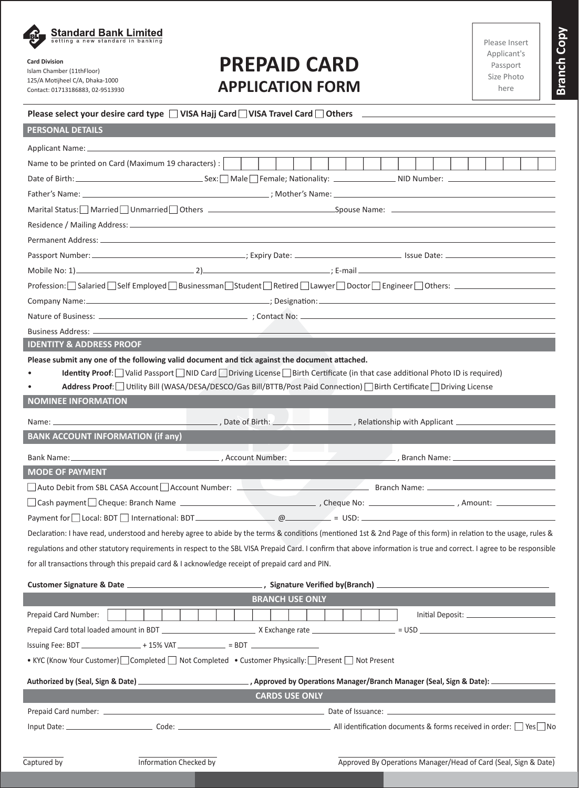

# **Card Division**

Islam Chamber (11thFloor) 125/A Motijheel C/A, Dhaka-1000 Contact: 01713186883, 02-9513930

# **PREPAID CARD APPLICATION FORM**

**Branch Copy**

**Branch Copy** 

# **Please select your desire card type**  $\Box$  **VISA Hajj Card**  $\Box$  **VISA Travel Card**  $\Box$  **Others**

| <b>PERSONAL DETAILS</b>                                                                                                                                                                                                        |
|--------------------------------------------------------------------------------------------------------------------------------------------------------------------------------------------------------------------------------|
|                                                                                                                                                                                                                                |
| Name to be printed on Card (Maximum 19 characters) :                                                                                                                                                                           |
|                                                                                                                                                                                                                                |
|                                                                                                                                                                                                                                |
| Marital Status: Married   Unmarried   Others   Cambridge   Chernel   Chernel   Chernel   Chernel   Chernel   Chernel   Chernel   Chernel   Chernel   Chernel   Chernel   Chernel   Chernel   Chernel   Chernel   Chernel   Che |
|                                                                                                                                                                                                                                |
|                                                                                                                                                                                                                                |
|                                                                                                                                                                                                                                |
|                                                                                                                                                                                                                                |
| Profession: Salaried Self Employed Businessman Student Retired DLawyer Doctor Bngineer Others: ________________                                                                                                                |
|                                                                                                                                                                                                                                |
|                                                                                                                                                                                                                                |
| Business Address: _______________                                                                                                                                                                                              |
| <b>IDENTITY &amp; ADDRESS PROOF</b>                                                                                                                                                                                            |
| Please submit any one of the following valid document and tick against the document attached.                                                                                                                                  |
| Identity Proof: Valid Passport   NID Card   Driving License   Birth Certificate (in that case additional Photo ID is required)                                                                                                 |
| Address Proof: Utility Bill (WASA/DESA/DESCO/Gas Bill/BTTB/Post Paid Connection) Birth Certificate Driving License<br>$\bullet$                                                                                                |
| <b>NOMINEE INFORMATION</b>                                                                                                                                                                                                     |
|                                                                                                                                                                                                                                |
| <b>BANK ACCOUNT INFORMATION (if any)</b>                                                                                                                                                                                       |
| the control of the control of the control of                                                                                                                                                                                   |
| <b>MODE OF PAYMENT</b>                                                                                                                                                                                                         |
| Auto Debit from SBL CASA Account Account Number: 2008 2010 2020 2020 2021 Branch Name:                                                                                                                                         |
|                                                                                                                                                                                                                                |
| Payment for $\Box$ Local: BDT $\Box$ International: BDT $\Box$ Local: BDT $\Box$ Local: BDT $\Box$ International: BDT $\Box$                                                                                                   |
| Declaration: I have read, understood and hereby agree to abide by the terms & conditions (mentioned 1st & 2nd Page of this form) in relation to the usage, rules &                                                             |
| regulations and other statutory requirements in respect to the SBL VISA Prepaid Card. I confirm that above information is true and correct. I agree to be responsible                                                          |
| for all transactions through this prepaid card & I acknowledge receipt of prepaid card and PIN.                                                                                                                                |
|                                                                                                                                                                                                                                |
| <b>BRANCH USE ONLY</b>                                                                                                                                                                                                         |
| Prepaid Card Number:                                                                                                                                                                                                           |
|                                                                                                                                                                                                                                |
| Issuing Fee: BDT ________________+ 15% VAT ____________ = BDT __________________                                                                                                                                               |
| • KYC (Know Your Customer) Completed Mot Completed • Customer Physically: Present Not Present                                                                                                                                  |
|                                                                                                                                                                                                                                |
| <b>CARDS USE ONLY</b>                                                                                                                                                                                                          |
| Prepaid Card number: 2000 Card number: 2000 Card number 2000 Card number 2000 Card number 2000 Card number: 2000 Card number 2000 Card number 2000 Card number 2000 Card number 2000 Card number 2000 Card number 2000 Card nu |
|                                                                                                                                                                                                                                |
|                                                                                                                                                                                                                                |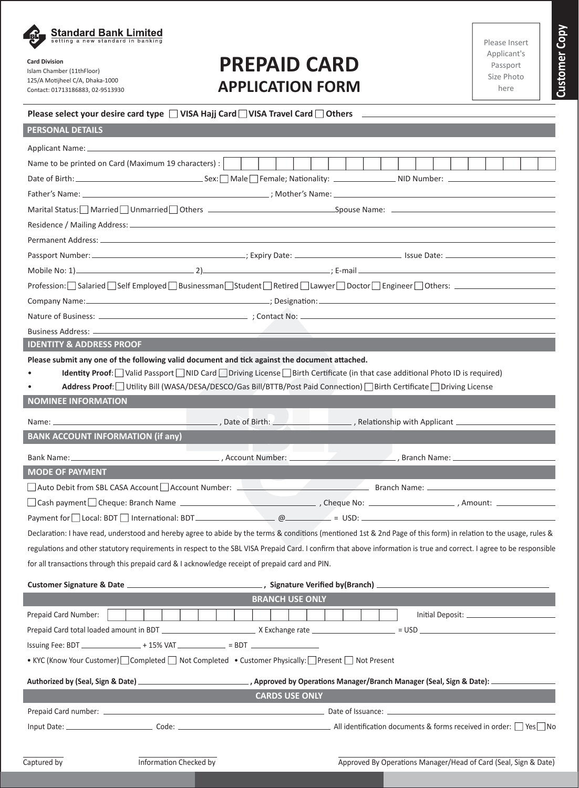

# **Card Division**

Islam Chamber (11thFloor) 125/A Motijheel C/A, Dhaka-1000 Contact: 01713186883, 02-9513930

# **PREPAID CARD APPLICATION FORM**

| dse insert |  |  |
|------------|--|--|
| plicant's  |  |  |
| 'assport   |  |  |
| ze Photo   |  |  |
| here       |  |  |

**Customer Copy Customer Copy**

### **Please select your desire card type**  $\Box$  **VISA Hajj Card**  $\Box$  **VISA Travel Card**  $\Box$  **Others**

| <b>PERSONAL DETAILS</b>                                                                         |                                                                                                                                                                                                                                |
|-------------------------------------------------------------------------------------------------|--------------------------------------------------------------------------------------------------------------------------------------------------------------------------------------------------------------------------------|
|                                                                                                 |                                                                                                                                                                                                                                |
| Name to be printed on Card (Maximum 19 characters) :                                            |                                                                                                                                                                                                                                |
|                                                                                                 |                                                                                                                                                                                                                                |
|                                                                                                 |                                                                                                                                                                                                                                |
|                                                                                                 | Marital Status: Married   Unmarried   Others   Cambridge   Chernel   Chernel   Chernel   Chernel   Chernel   Chernel   Chernel   Chernel   Chernel   Chernel   Chernel   Chernel   Chernel   Chernel   Chernel   Chernel   Che |
|                                                                                                 |                                                                                                                                                                                                                                |
|                                                                                                 |                                                                                                                                                                                                                                |
|                                                                                                 |                                                                                                                                                                                                                                |
|                                                                                                 |                                                                                                                                                                                                                                |
|                                                                                                 | Profession: Salaried Self Employed Businessman Student Retired Lawyer Doctor Engineer Others: ________________                                                                                                                 |
|                                                                                                 |                                                                                                                                                                                                                                |
|                                                                                                 |                                                                                                                                                                                                                                |
|                                                                                                 |                                                                                                                                                                                                                                |
| <b>IDENTITY &amp; ADDRESS PROOF</b>                                                             |                                                                                                                                                                                                                                |
| Please submit any one of the following valid document and tick against the document attached.   |                                                                                                                                                                                                                                |
|                                                                                                 | Identity Proof: Valid Passport   NID Card   Driving License   Birth Certificate (in that case additional Photo ID is required)                                                                                                 |
|                                                                                                 | Address Proof: Utility Bill (WASA/DESA/DESCO/Gas Bill/BTTB/Post Paid Connection)   Birth Certificate   Driving License                                                                                                         |
| <b>NOMINEE INFORMATION</b>                                                                      |                                                                                                                                                                                                                                |
|                                                                                                 |                                                                                                                                                                                                                                |
| <b>BANK ACCOUNT INFORMATION (if any)</b>                                                        |                                                                                                                                                                                                                                |
|                                                                                                 | the contract of the contract of the contract of                                                                                                                                                                                |
| <b>MODE OF PAYMENT</b>                                                                          |                                                                                                                                                                                                                                |
|                                                                                                 | Auto Debit from SBL CASA Account and Account Number: <b>Account 2018</b> Branch Name: <b>Account 2018</b>                                                                                                                      |
|                                                                                                 |                                                                                                                                                                                                                                |
|                                                                                                 |                                                                                                                                                                                                                                |
|                                                                                                 | Declaration: I have read, understood and hereby agree to abide by the terms & conditions (mentioned 1st & 2nd Page of this form) in relation to the usage, rules &                                                             |
|                                                                                                 | regulations and other statutory requirements in respect to the SBL VISA Prepaid Card. I confirm that above information is true and correct. I agree to be responsible                                                          |
| for all transactions through this prepaid card & I acknowledge receipt of prepaid card and PIN. |                                                                                                                                                                                                                                |
|                                                                                                 |                                                                                                                                                                                                                                |
|                                                                                                 | <b>BRANCH USE ONLY</b>                                                                                                                                                                                                         |
| Prepaid Card Number:                                                                            |                                                                                                                                                                                                                                |
|                                                                                                 |                                                                                                                                                                                                                                |
| Issuing Fee: BDT _______________+ 15% VAT ____________ = BDT ___________________                |                                                                                                                                                                                                                                |
| • KYC (Know Your Customer) Completed Mot Completed • Customer Physically: Present Not Present   |                                                                                                                                                                                                                                |
|                                                                                                 |                                                                                                                                                                                                                                |
|                                                                                                 | Authorized by (Seal, Sign & Date) ________________________________, Approved by Operations Manager/Branch Manager (Seal, Sign & Date): _________________________<br><b>CARDS USE ONLY</b>                                      |
|                                                                                                 |                                                                                                                                                                                                                                |
|                                                                                                 |                                                                                                                                                                                                                                |
|                                                                                                 |                                                                                                                                                                                                                                |
|                                                                                                 |                                                                                                                                                                                                                                |